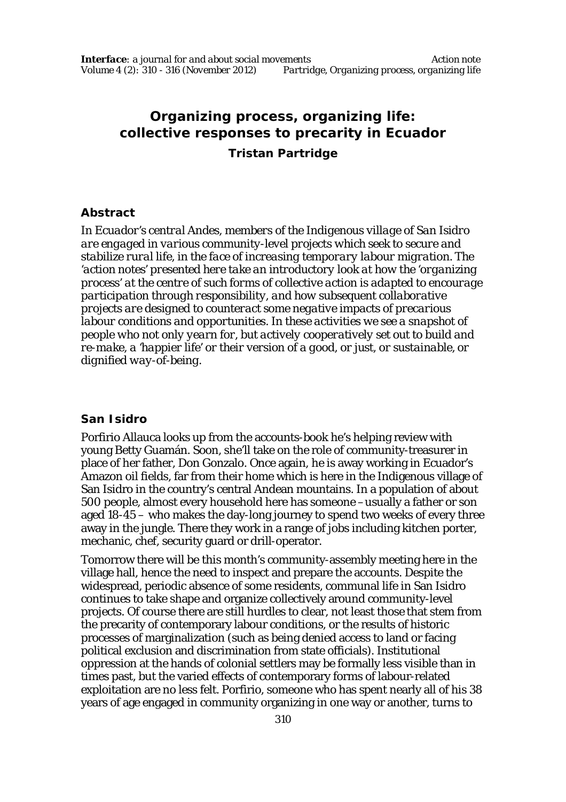# **Organizing process, organizing life: collective responses to precarity in Ecuador**

**Tristan Partridge**

# **Abstract**

*In Ecuador's central Andes, members of the Indigenous village of San Isidro are engaged in various community-level projects which seek to secure and stabilize rural life, in the face of increasing temporary labour migration. The 'action notes' presented here take an introductory look at how the 'organizing process' at the centre of such forms of collective action is adapted to encourage participation through responsibility, and how subsequent collaborative projects are designed to counteract some negative impacts of precarious labour conditions and opportunities. In these activities we see a snapshot of people who not only yearn for, but actively cooperatively set out to build and re-make, a 'happier life' or their version of a good, or just, or sustainable, or dignified way-of-being.* 

# **San Isidro**

Porfirio Allauca looks up from the accounts-book he's helping review with young Betty Guamán. Soon, she'll take on the role of community-treasurer in place of her father, Don Gonzalo. Once again, he is away working in Ecuador's Amazon oil fields, far from their home which is here in the Indigenous village of San Isidro in the country's central Andean mountains. In a population of about 500 people, almost every household here has someone –usually a father or son aged 18-45 – who makes the day-long journey to spend two weeks of every three away in the jungle. There they work in a range of jobs including kitchen porter, mechanic, chef, security guard or drill-operator.

Tomorrow there will be this month's community-assembly meeting here in the village hall, hence the need to inspect and prepare the accounts. Despite the widespread, periodic absence of some residents, communal life in San Isidro continues to take shape and organize collectively around community-level projects. Of course there are still hurdles to clear, not least those that stem from the precarity of contemporary labour conditions, or the results of historic processes of marginalization (such as being denied access to land or facing political exclusion and discrimination from state officials). Institutional oppression at the hands of colonial settlers may be formally less visible than in times past, but the varied effects of contemporary forms of labour-related exploitation are no less felt. Porfirio, someone who has spent nearly all of his 38 years of age engaged in community organizing in one way or another, turns to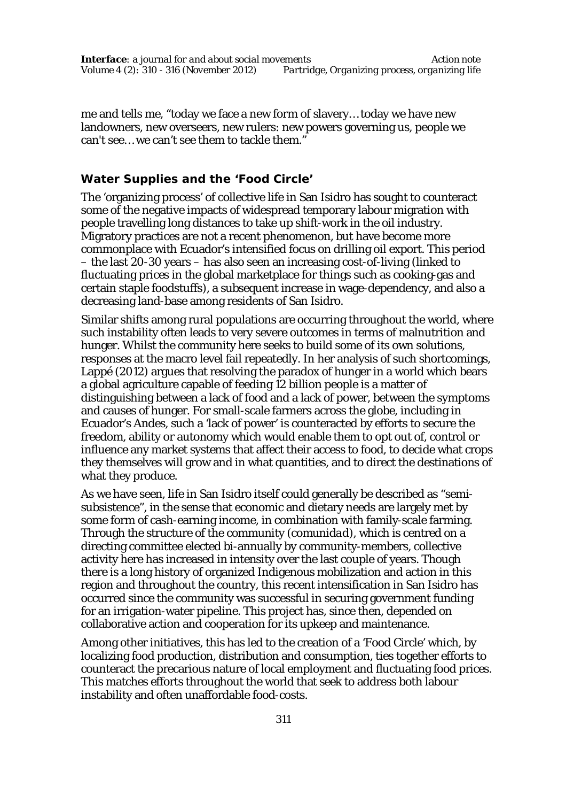me and tells me, "today we face a new form of slavery… today we have new landowners, new overseers, new rulers: new powers governing us, people we can't see… we can't see them to tackle them."

# **Water Supplies and the 'Food Circle'**

The 'organizing process' of collective life in San Isidro has sought to counteract some of the negative impacts of widespread temporary labour migration with people travelling long distances to take up shift-work in the oil industry. Migratory practices are not a recent phenomenon, but have become more commonplace with Ecuador's intensified focus on drilling oil export. This period – the last 20-30 years – has also seen an increasing cost-of-living (linked to fluctuating prices in the global marketplace for things such as cooking-gas and certain staple foodstuffs), a subsequent increase in wage-dependency, and also a decreasing land-base among residents of San Isidro.

Similar shifts among rural populations are occurring throughout the world, where such instability often leads to very severe outcomes in terms of malnutrition and hunger. Whilst the community here seeks to build some of its own solutions, responses at the macro level fail repeatedly. In her analysis of such shortcomings, Lappé (2012) argues that resolving the paradox of hunger in a world which bears a global agriculture capable of feeding 12 billion people is a matter of distinguishing between a lack of food and a lack of power, between the symptoms and causes of hunger. For small-scale farmers across the globe, including in Ecuador's Andes, such a 'lack of power' is counteracted by efforts to secure the freedom, ability or autonomy which would enable them to opt out of, control or influence any market systems that affect their access to food, to decide what crops they themselves will grow and in what quantities, and to direct the destinations of what they produce.

As we have seen, life in San Isidro itself could generally be described as "semisubsistence", in the sense that economic and dietary needs are largely met by some form of cash-earning income, in combination with family-scale farming. Through the structure of the community (*comunidad*), which is centred on a directing committee elected bi-annually by community-members, collective activity here has increased in intensity over the last couple of years. Though there is a long history of organized Indigenous mobilization and action in this region and throughout the country, this recent intensification in San Isidro has occurred since the community was successful in securing government funding for an irrigation-water pipeline. This project has, since then, depended on collaborative action and cooperation for its upkeep and maintenance.

Among other initiatives, this has led to the creation of a 'Food Circle' which, by localizing food production, distribution and consumption, ties together efforts to counteract the precarious nature of local employment and fluctuating food prices. This matches efforts throughout the world that seek to address both labour instability and often unaffordable food-costs.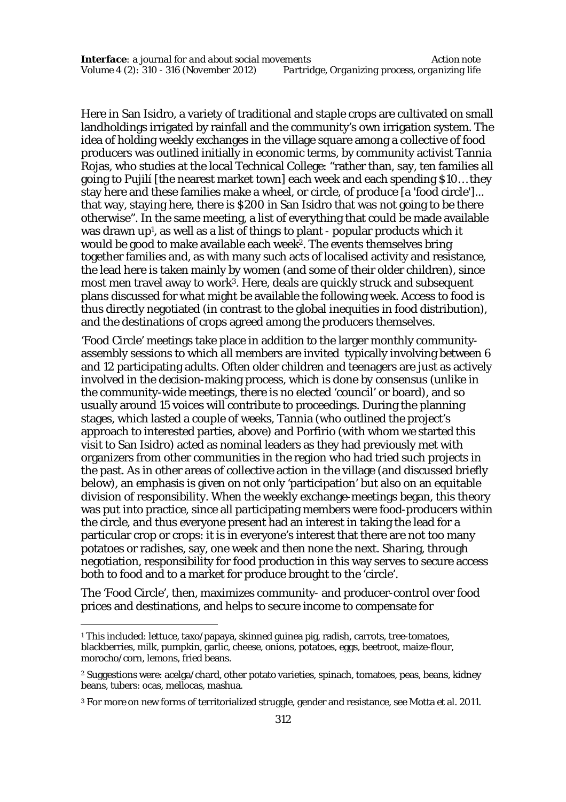Here in San Isidro, a variety of traditional and staple crops are cultivated on small landholdings irrigated by rainfall and the community's own irrigation system. The idea of holding weekly exchanges in the village square among a collective of food producers was outlined initially in economic terms, by community activist Tannia Rojas, who studies at the local Technical College: "rather than, say, ten families all going to Pujilí [the nearest market town] each week and each spending \$10… they stay here and these families make a wheel, or circle, of produce [a 'food circle']... that way, staying here, there is \$200 in San Isidro that was not going to be there otherwise". In the same meeting, a list of everything that could be made available was drawn up<sup>1</sup> , as well as a list of things to plant - popular products which it would be good to make available each week<sup>2</sup>. The events themselves bring together families and, as with many such acts of localised activity and resistance, the lead here is taken mainly by women (and some of their older children), since most men travel away to work<sup>3</sup>. Here, deals are quickly struck and subsequent plans discussed for what might be available the following week. Access to food is thus directly negotiated (in contrast to the global inequities in food distribution), and the destinations of crops agreed among the producers themselves.

'Food Circle' meetings take place in addition to the larger monthly communityassembly sessions to which all members are invited typically involving between 6 and 12 participating adults. Often older children and teenagers are just as actively involved in the decision-making process, which is done by consensus (unlike in the community-wide meetings, there is no elected 'council' or board), and so usually around 15 voices will contribute to proceedings. During the planning stages, which lasted a couple of weeks, Tannia (who outlined the project's approach to interested parties, above) and Porfirio (with whom we started this visit to San Isidro) acted as nominal leaders as they had previously met with organizers from other communities in the region who had tried such projects in the past. As in other areas of collective action in the village (and discussed briefly below), an emphasis is given on not only 'participation' but also on an equitable division of responsibility. When the weekly exchange-meetings began, this theory was put into practice, since all participating members were food-producers within the circle, and thus everyone present had an interest in taking the lead for a particular crop or crops: it is in everyone's interest that there are not too many potatoes or radishes, say, one week and then none the next. Sharing, through negotiation, responsibility for food production in this way serves to secure access both to food and to a market for produce brought to the 'circle'.

The 'Food Circle', then, maximizes community- and producer-control over food prices and destinations, and helps to secure income to compensate for

 $\overline{a}$ 

<sup>1</sup> This included: lettuce, taxo/papaya, skinned guinea pig, radish, carrots, tree-tomatoes, blackberries, milk, pumpkin, garlic, cheese, onions, potatoes, eggs, beetroot, maize-flour, morocho/corn, lemons, fried beans.

<sup>2</sup> Suggestions were: acelga/chard, other potato varieties, spinach, tomatoes, peas, beans, kidney beans, tubers: ocas, mellocas, mashua.

<sup>3</sup> For more on new forms of territorialized struggle, gender and resistance, see Motta et al. 2011.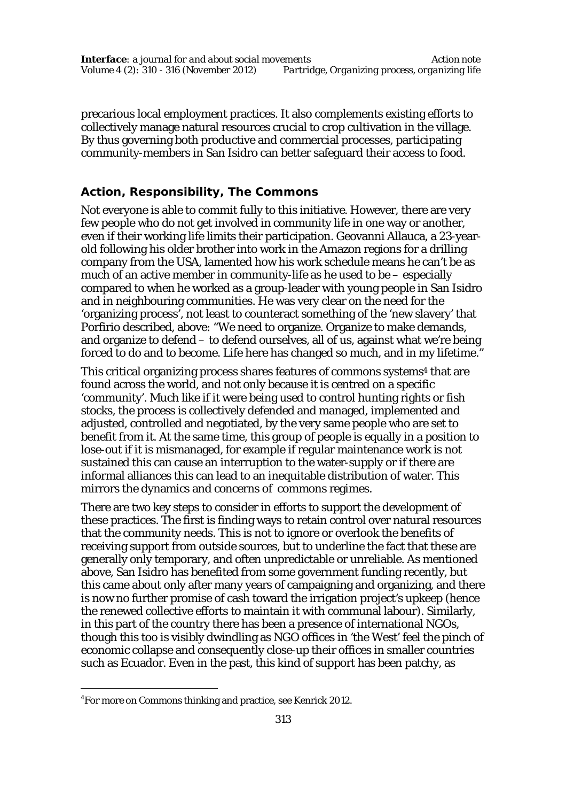precarious local employment practices. It also complements existing efforts to collectively manage natural resources crucial to crop cultivation in the village. By thus governing both productive and commercial processes, participating community-members in San Isidro can better safeguard their access to food.

# **Action, Responsibility, The Commons**

Not everyone is able to commit fully to this initiative. However, there are very few people who do not get involved in community life in one way or another, even if their working life limits their participation. Geovanni Allauca, a 23-yearold following his older brother into work in the Amazon regions for a drilling company from the USA, lamented how his work schedule means he can't be as much of an active member in community-life as he used to be – especially compared to when he worked as a group-leader with young people in San Isidro and in neighbouring communities. He was very clear on the need for the 'organizing process', not least to counteract something of the 'new slavery' that Porfirio described, above: "We need to organize. Organize to make demands, and organize to defend – to defend ourselves, all of us, against what we're being forced to do and to become. Life here has changed so much, and in my lifetime."

This critical organizing process shares features of commons systems<sup>4</sup> that are found across the world, and not only because it is centred on a specific 'community'. Much like if it were being used to control hunting rights or fish stocks, the process is collectively defended and managed, implemented and adjusted, controlled and negotiated, by the very same people who are set to benefit from it. At the same time, this group of people is equally in a position to lose-out if it is mismanaged, for example if regular maintenance work is not sustained this can cause an interruption to the water-supply or if there are informal alliances this can lead to an inequitable distribution of water. This mirrors the dynamics and concerns of commons regimes.

There are two key steps to consider in efforts to support the development of these practices. The first is finding ways to retain control over natural resources that the community needs. This is not to ignore or overlook the benefits of receiving support from outside sources, but to underline the fact that these are generally only temporary, and often unpredictable or unreliable. As mentioned above, San Isidro has benefited from some government funding recently, but this came about only after many years of campaigning and organizing, and there is now no further promise of cash toward the irrigation project's upkeep (hence the renewed collective efforts to maintain it with communal labour). Similarly, in this part of the country there has been a presence of international NGOs, though this too is visibly dwindling as NGO offices in 'the West' feel the pinch of economic collapse and consequently close-up their offices in smaller countries such as Ecuador. Even in the past, this kind of support has been patchy, as

 $\overline{a}$ 

<sup>4</sup> For more on Commons thinking and practice, see Kenrick 2012.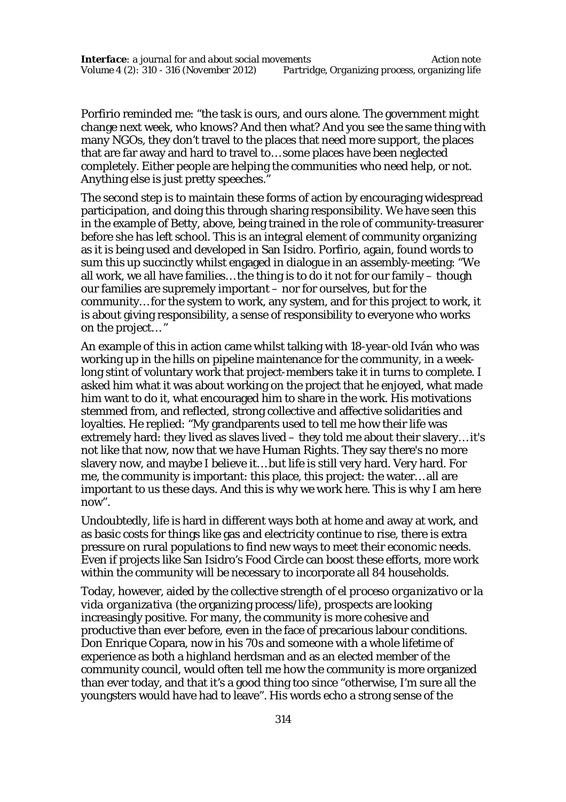Porfirio reminded me: "the task is ours, and ours alone. The government might change next week, who knows? And then what? And you see the same thing with many NGOs, they don't travel to the places that need more support, the places that are far away and hard to travel to… some places have been neglected completely. Either people are helping the communities who need help, or not. Anything else is just pretty speeches."

The second step is to maintain these forms of action by encouraging widespread participation, and doing this through sharing responsibility. We have seen this in the example of Betty, above, being trained in the role of community-treasurer before she has left school. This is an integral element of community organizing as it is being used and developed in San Isidro. Porfirio, again, found words to sum this up succinctly whilst engaged in dialogue in an assembly-meeting: "We all work, we all have families… the thing is to do it not for our family – though our families are supremely important – nor for ourselves, but for the community… for the system to work, any system, and for this project to work, it is about giving responsibility, a sense of responsibility to everyone who works on the project… "

An example of this in action came whilst talking with 18-year-old Iván who was working up in the hills on pipeline maintenance for the community, in a weeklong stint of voluntary work that project-members take it in turns to complete. I asked him what it was about working on the project that he enjoyed, what made him want to do it, what encouraged him to share in the work. His motivations stemmed from, and reflected, strong collective and affective solidarities and loyalties. He replied: "My grandparents used to tell me how their life was extremely hard: they lived as slaves lived – they told me about their slavery… it's not like that now, now that we have Human Rights. They say there's no more slavery now, and maybe I believe it… but life is still very hard. Very hard. For me, the community is important: this place, this project: the water… all are important to us these days. And this is why we work here. This is why I am here now".

Undoubtedly, life is hard in different ways both at home and away at work, and as basic costs for things like gas and electricity continue to rise, there is extra pressure on rural populations to find new ways to meet their economic needs. Even if projects like San Isidro's Food Circle can boost these efforts, more work within the community will be necessary to incorporate all 84 households.

Today, however, aided by the collective strength of *el proceso organizativo* or *la vida organizativa* (the organizing process/life), prospects are looking increasingly positive. For many, the community is more cohesive and productive than ever before, even in the face of precarious labour conditions. Don Enrique Copara, now in his 70s and someone with a whole lifetime of experience as both a highland herdsman and as an elected member of the community council, would often tell me how the community is more organized than ever today, and that it's a good thing too since "otherwise, I'm sure all the youngsters would have had to leave". His words echo a strong sense of the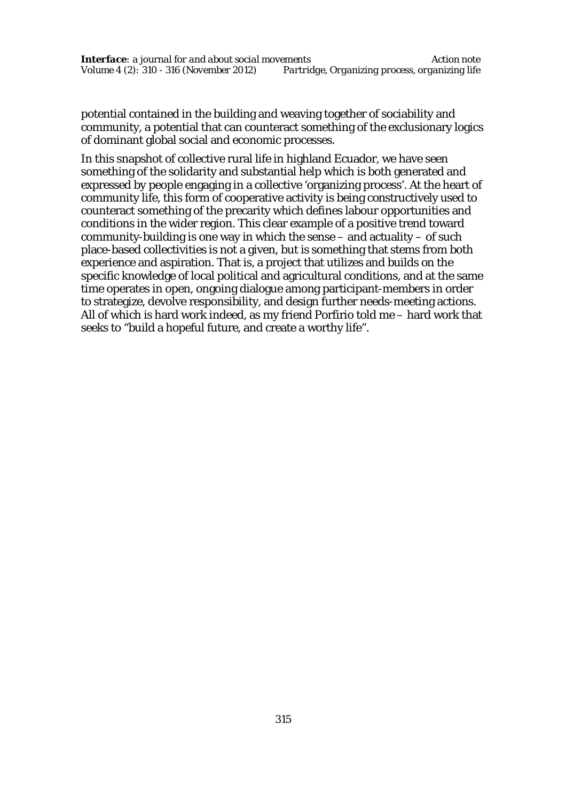potential contained in the building and weaving together of sociability and community, a potential that can counteract something of the exclusionary logics of dominant global social and economic processes.

In this snapshot of collective rural life in highland Ecuador, we have seen something of the solidarity and substantial help which is both generated and expressed by people engaging in a collective 'organizing process'. At the heart of community life, this form of cooperative activity is being constructively used to counteract something of the precarity which defines labour opportunities and conditions in the wider region. This clear example of a positive trend toward community-building is one way in which the sense – and actuality – of such place-based collectivities is not a given, but is something that stems from both experience and aspiration. That is, a project that utilizes and builds on the specific knowledge of local political and agricultural conditions, and at the same time operates in open, ongoing dialogue among participant-members in order to strategize, devolve responsibility, and design further needs-meeting actions. All of which is hard work indeed, as my friend Porfirio told me – hard work that seeks to "build a hopeful future, and create a worthy life".